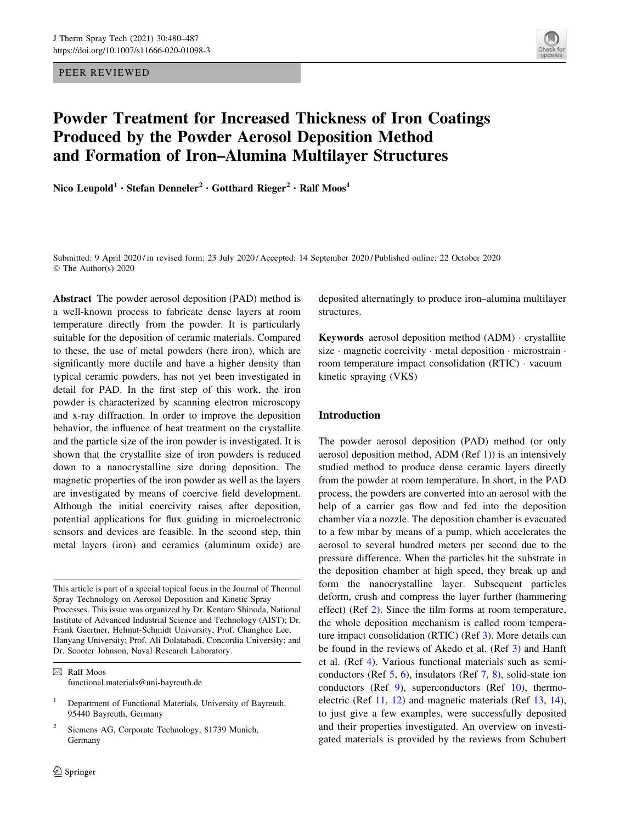PEER REVIEWED



# Powder Treatment for Increased Thickness of Iron Coatings Produced by the Powder Aerosol Deposition Method and Formation of Iron–Alumina Multilayer Structures

Nico Leupold<sup>1</sup> · Stefan Denneler<sup>2</sup> · Gotthard Rieger<sup>2</sup> · Ralf Moos<sup>1</sup>

Submitted: 9 April 2020 / in revised form: 23 July 2020 / Accepted: 14 September 2020 / Published online: 22 October 2020 © The Author(s) 2020

Abstract The powder aerosol deposition (PAD) method is a well-known process to fabricate dense layers at room temperature directly from the powder. It is particularly suitable for the deposition of ceramic materials. Compared to these, the use of metal powders (here iron), which are significantly more ductile and have a higher density than typical ceramic powders, has not yet been investigated in detail for PAD. In the first step of this work, the iron powder is characterized by scanning electron microscopy and x-ray diffraction. In order to improve the deposition behavior, the influence of heat treatment on the crystallite and the particle size of the iron powder is investigated. It is shown that the crystallite size of iron powders is reduced down to a nanocrystalline size during deposition. The magnetic properties of the iron powder as well as the layers are investigated by means of coercive field development. Although the initial coercivity raises after deposition, potential applications for flux guiding in microelectronic sensors and devices are feasible. In the second step, thin metal layers (iron) and ceramics (aluminum oxide) are

This article is part of a special topical focus in the Journal of Thermal Spray Technology on Aerosol Deposition and Kinetic Spray Processes. This issue was organized by Dr. Kentaro Shinoda, National Institute of Advanced Industrial Science and Technology (AIST); Dr. Frank Gaertner, Helmut-Schmidt University; Prof. Changhee Lee, Hanyang University; Prof. Ali Dolatabadi, Concordia University; and Dr. Scooter Johnson, Naval Research Laboratory.

 $\boxtimes$  Ralf Moos functional.materials@uni-bayreuth.de deposited alternatingly to produce iron–alumina multilayer structures.

Keywords aerosol deposition method (ADM) - crystallite size · magnetic coercivity · metal deposition · microstrain · room temperature impact consolidation (RTIC) - vacuum kinetic spraying (VKS)

## Introduction

The powder aerosol deposition (PAD) method (or only aerosol deposition method, ADM (Ref [1](#page-6-0))) is an intensively studied method to produce dense ceramic layers directly from the powder at room temperature. In short, in the PAD process, the powders are converted into an aerosol with the help of a carrier gas flow and fed into the deposition chamber via a nozzle. The deposition chamber is evacuated to a few mbar by means of a pump, which accelerates the aerosol to several hundred meters per second due to the pressure difference. When the particles hit the substrate in the deposition chamber at high speed, they break up and form the nanocrystalline layer. Subsequent particles deform, crush and compress the layer further (hammering effect) (Ref [2\)](#page-6-0). Since the film forms at room temperature, the whole deposition mechanism is called room temperature impact consolidation (RTIC) (Ref [3\)](#page-6-0). More details can be found in the reviews of Akedo et al. (Ref [3](#page-6-0)) and Hanft et al. (Ref [4](#page-6-0)). Various functional materials such as semiconductors (Ref  $5, 6$  $5, 6$ ), insulators (Ref  $7, 8$  $7, 8$ ), solid-state ion conductors (Ref [9](#page-6-0)), superconductors (Ref  $10$ ), thermoelectric (Ref [11](#page-7-0), [12](#page-7-0)) and magnetic materials (Ref [13,](#page-7-0) [14](#page-7-0)), to just give a few examples, were successfully deposited and their properties investigated. An overview on investigated materials is provided by the reviews from Schubert

<sup>1</sup> Department of Functional Materials, University of Bayreuth, 95440 Bayreuth, Germany

Siemens AG, Corporate Technology, 81739 Munich, Germany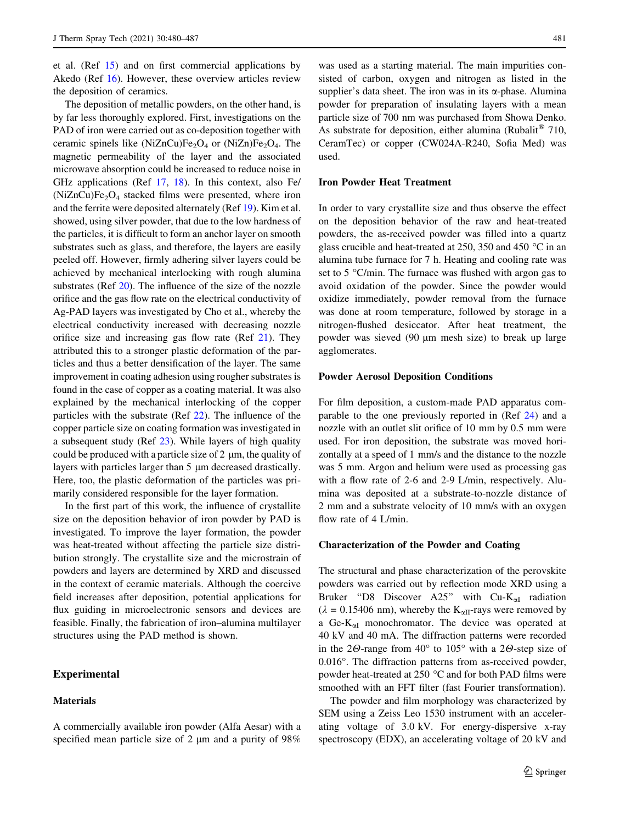et al. (Ref [15\)](#page-7-0) and on first commercial applications by Akedo (Ref [16](#page-7-0)). However, these overview articles review the deposition of ceramics.

The deposition of metallic powders, on the other hand, is by far less thoroughly explored. First, investigations on the PAD of iron were carried out as co-deposition together with ceramic spinels like (NiZnCu)Fe<sub>2</sub>O<sub>4</sub> or (NiZn)Fe<sub>2</sub>O<sub>4</sub>. The magnetic permeability of the layer and the associated microwave absorption could be increased to reduce noise in GHz applications (Ref [17,](#page-7-0) [18\)](#page-7-0). In this context, also Fe/  $(NiZnCu)Fe<sub>2</sub>O<sub>4</sub>$  stacked films were presented, where iron and the ferrite were deposited alternately (Ref [19](#page-7-0)). Kim et al. showed, using silver powder, that due to the low hardness of the particles, it is difficult to form an anchor layer on smooth substrates such as glass, and therefore, the layers are easily peeled off. However, firmly adhering silver layers could be achieved by mechanical interlocking with rough alumina substrates (Ref [20](#page-7-0)). The influence of the size of the nozzle orifice and the gas flow rate on the electrical conductivity of Ag-PAD layers was investigated by Cho et al., whereby the electrical conductivity increased with decreasing nozzle orifice size and increasing gas flow rate (Ref [21](#page-7-0)). They attributed this to a stronger plastic deformation of the particles and thus a better densification of the layer. The same improvement in coating adhesion using rougher substrates is found in the case of copper as a coating material. It was also explained by the mechanical interlocking of the copper particles with the substrate (Ref [22](#page-7-0)). The influence of the copper particle size on coating formation was investigated in a subsequent study (Ref [23](#page-7-0)). While layers of high quality could be produced with a particle size of  $2 \mu m$ , the quality of layers with particles larger than 5  $\mu$ m decreased drastically. Here, too, the plastic deformation of the particles was primarily considered responsible for the layer formation.

In the first part of this work, the influence of crystallite size on the deposition behavior of iron powder by PAD is investigated. To improve the layer formation, the powder was heat-treated without affecting the particle size distribution strongly. The crystallite size and the microstrain of powders and layers are determined by XRD and discussed in the context of ceramic materials. Although the coercive field increases after deposition, potential applications for flux guiding in microelectronic sensors and devices are feasible. Finally, the fabrication of iron–alumina multilayer structures using the PAD method is shown.

## Experimental

## **Materials**

was used as a starting material. The main impurities consisted of carbon, oxygen and nitrogen as listed in the supplier's data sheet. The iron was in its  $\alpha$ -phase. Alumina powder for preparation of insulating layers with a mean particle size of 700 nm was purchased from Showa Denko. As substrate for deposition, either alumina (Rubalit<sup>®</sup> 710, CeramTec) or copper (CW024A-R240, Sofia Med) was used.

## Iron Powder Heat Treatment

In order to vary crystallite size and thus observe the effect on the deposition behavior of the raw and heat-treated powders, the as-received powder was filled into a quartz glass crucible and heat-treated at 250, 350 and 450  $^{\circ}$ C in an alumina tube furnace for 7 h. Heating and cooling rate was set to 5  $\degree$ C/min. The furnace was flushed with argon gas to avoid oxidation of the powder. Since the powder would oxidize immediately, powder removal from the furnace was done at room temperature, followed by storage in a nitrogen-flushed desiccator. After heat treatment, the powder was sieved (90 µm mesh size) to break up large agglomerates.

#### Powder Aerosol Deposition Conditions

For film deposition, a custom-made PAD apparatus comparable to the one previously reported in (Ref [24\)](#page-7-0) and a nozzle with an outlet slit orifice of 10 mm by 0.5 mm were used. For iron deposition, the substrate was moved horizontally at a speed of 1 mm/s and the distance to the nozzle was 5 mm. Argon and helium were used as processing gas with a flow rate of 2-6 and 2-9 L/min, respectively. Alumina was deposited at a substrate-to-nozzle distance of 2 mm and a substrate velocity of 10 mm/s with an oxygen flow rate of 4 L/min.

#### Characterization of the Powder and Coating

The structural and phase characterization of the perovskite powders was carried out by reflection mode XRD using a Bruker "D8 Discover A25" with  $Cu-K<sub>oI</sub>$  radiation  $(\lambda = 0.15406$  nm), whereby the K<sub> $\alpha$ II</sub>-rays were removed by a Ge- $K_{\alpha I}$  monochromator. The device was operated at 40 kV and 40 mA. The diffraction patterns were recorded in the 2 $\Theta$ -range from 40° to 105° with a 2 $\Theta$ -step size of 0.016°. The diffraction patterns from as-received powder, powder heat-treated at  $250^{\circ}$ C and for both PAD films were smoothed with an FFT filter (fast Fourier transformation).

The powder and film morphology was characterized by SEM using a Zeiss Leo 1530 instrument with an accelerating voltage of 3.0 kV. For energy-dispersive x-ray spectroscopy (EDX), an accelerating voltage of 20 kV and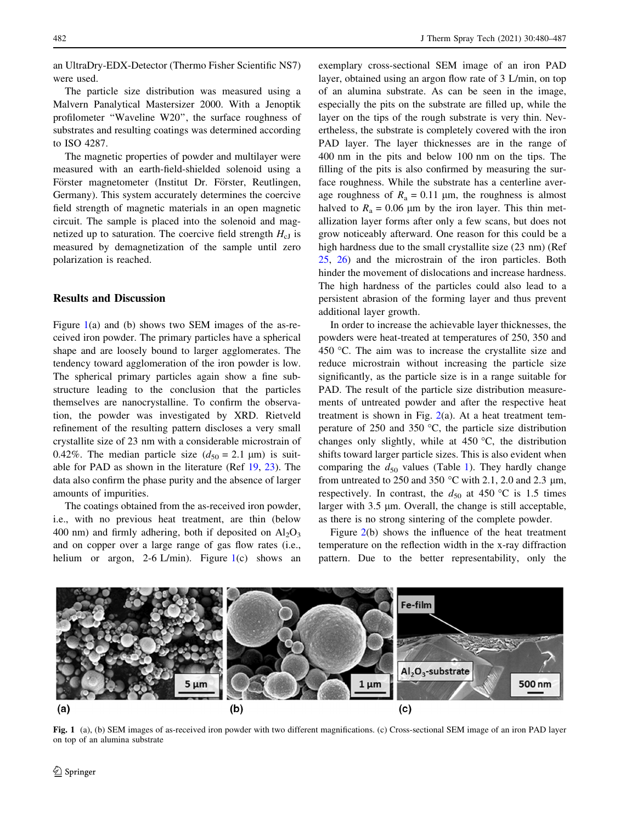an UltraDry-EDX-Detector (Thermo Fisher Scientific NS7) were used.

The particle size distribution was measured using a Malvern Panalytical Mastersizer 2000. With a Jenoptik profilometer ''Waveline W20'', the surface roughness of substrates and resulting coatings was determined according to ISO 4287.

The magnetic properties of powder and multilayer were measured with an earth-field-shielded solenoid using a Förster magnetometer (Institut Dr. Förster, Reutlingen, Germany). This system accurately determines the coercive field strength of magnetic materials in an open magnetic circuit. The sample is placed into the solenoid and magnetized up to saturation. The coercive field strength  $H_{cI}$  is measured by demagnetization of the sample until zero polarization is reached.

## Results and Discussion

Figure 1(a) and (b) shows two SEM images of the as-received iron powder. The primary particles have a spherical shape and are loosely bound to larger agglomerates. The tendency toward agglomeration of the iron powder is low. The spherical primary particles again show a fine substructure leading to the conclusion that the particles themselves are nanocrystalline. To confirm the observation, the powder was investigated by XRD. Rietveld refinement of the resulting pattern discloses a very small crystallite size of 23 nm with a considerable microstrain of 0.42%. The median particle size  $(d_{50} = 2.1 \text{ }\mu\text{m})$  is suitable for PAD as shown in the literature (Ref [19](#page-7-0), [23](#page-7-0)). The data also confirm the phase purity and the absence of larger amounts of impurities.

The coatings obtained from the as-received iron powder, i.e., with no previous heat treatment, are thin (below 400 nm) and firmly adhering, both if deposited on  $Al_2O_3$ and on copper over a large range of gas flow rates (i.e., helium or argon, 2-6 L/min). Figure  $1(c)$  shows an exemplary cross-sectional SEM image of an iron PAD layer, obtained using an argon flow rate of 3 L/min, on top of an alumina substrate. As can be seen in the image, especially the pits on the substrate are filled up, while the layer on the tips of the rough substrate is very thin. Nevertheless, the substrate is completely covered with the iron PAD layer. The layer thicknesses are in the range of 400 nm in the pits and below 100 nm on the tips. The filling of the pits is also confirmed by measuring the surface roughness. While the substrate has a centerline average roughness of  $R_a = 0.11 \mu m$ , the roughness is almost halved to  $R_a = 0.06 \mu m$  by the iron layer. This thin metallization layer forms after only a few scans, but does not grow noticeably afterward. One reason for this could be a high hardness due to the small crystallite size (23 nm) (Ref [25](#page-7-0), [26\)](#page-7-0) and the microstrain of the iron particles. Both hinder the movement of dislocations and increase hardness. The high hardness of the particles could also lead to a persistent abrasion of the forming layer and thus prevent additional layer growth.

In order to increase the achievable layer thicknesses, the powders were heat-treated at temperatures of 250, 350 and 450 °C. The aim was to increase the crystallite size and reduce microstrain without increasing the particle size significantly, as the particle size is in a range suitable for PAD. The result of the particle size distribution measurements of untreated powder and after the respective heat treatment is shown in Fig.  $2(a)$  $2(a)$ . At a heat treatment temperature of 250 and 350  $^{\circ}$ C, the particle size distribution changes only slightly, while at  $450^{\circ}$ C, the distribution shifts toward larger particle sizes. This is also evident when comparing the  $d_{50}$  values (Table [1\)](#page-3-0). They hardly change from untreated to 250 and 350 °C with 2.1, 2.0 and 2.3  $\mu$ m, respectively. In contrast, the  $d_{50}$  at 450 °C is 1.5 times larger with  $3.5 \mu m$ . Overall, the change is still acceptable, as there is no strong sintering of the complete powder.

Figure [2\(](#page-3-0)b) shows the influence of the heat treatment temperature on the reflection width in the x-ray diffraction pattern. Due to the better representability, only the



Fig. 1 (a), (b) SEM images of as-received iron powder with two different magnifications. (c) Cross-sectional SEM image of an iron PAD layer on top of an alumina substrate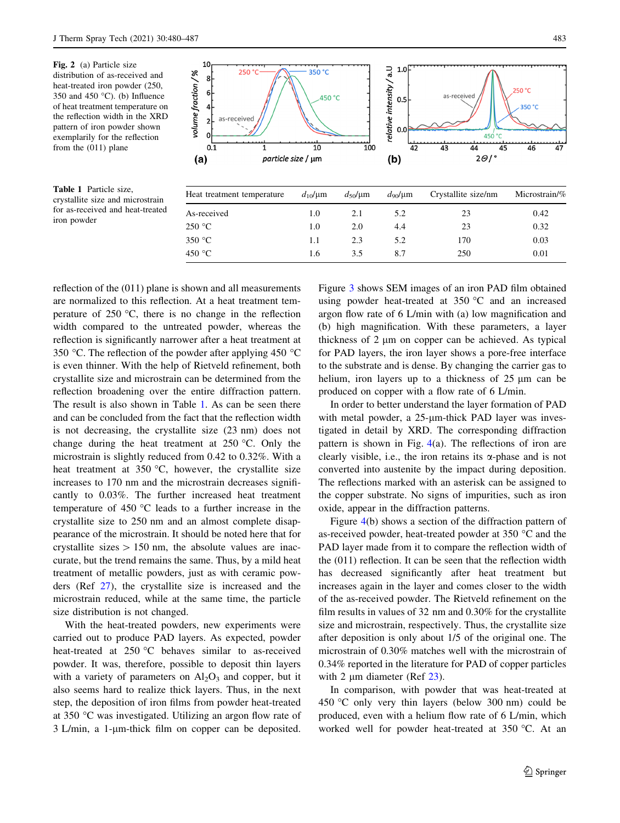<span id="page-3-0"></span>Fig. 2 (a) Particle size distribution of as-received and heat-treated iron powder (250, 350 and 450  $^{\circ}$ C). (b) Influence of heat treatment temperature on the reflection width in the XRD pattern of iron powder shown exemplarily for the reflection from the (011) plane

| <b>Table 1</b> Particle size.    |
|----------------------------------|
| crystallite size and microstrain |
| for as-received and heat-treated |
| iron powder                      |



reflection of the (011) plane is shown and all measurements are normalized to this reflection. At a heat treatment temperature of  $250 \degree C$ , there is no change in the reflection width compared to the untreated powder, whereas the reflection is significantly narrower after a heat treatment at 350 °C. The reflection of the powder after applying 450 °C is even thinner. With the help of Rietveld refinement, both crystallite size and microstrain can be determined from the reflection broadening over the entire diffraction pattern. The result is also shown in Table 1. As can be seen there and can be concluded from the fact that the reflection width is not decreasing, the crystallite size (23 nm) does not change during the heat treatment at  $250^{\circ}$ C. Only the microstrain is slightly reduced from 0.42 to 0.32%. With a heat treatment at 350  $\degree$ C, however, the crystallite size increases to 170 nm and the microstrain decreases significantly to 0.03%. The further increased heat treatment temperature of 450  $\degree$ C leads to a further increase in the crystallite size to 250 nm and an almost complete disappearance of the microstrain. It should be noted here that for crystallite sizes  $> 150$  nm, the absolute values are inaccurate, but the trend remains the same. Thus, by a mild heat treatment of metallic powders, just as with ceramic powders (Ref [27](#page-7-0)), the crystallite size is increased and the microstrain reduced, while at the same time, the particle size distribution is not changed.

With the heat-treated powders, new experiments were carried out to produce PAD layers. As expected, powder heat-treated at  $250 °C$  behaves similar to as-received powder. It was, therefore, possible to deposit thin layers with a variety of parameters on  $Al_2O_3$  and copper, but it also seems hard to realize thick layers. Thus, in the next step, the deposition of iron films from powder heat-treated at 350  $\degree$ C was investigated. Utilizing an argon flow rate of 3 L/min, a 1-µm-thick film on copper can be deposited. Figure [3](#page-4-0) shows SEM images of an iron PAD film obtained using powder heat-treated at  $350^{\circ}$ C and an increased argon flow rate of 6 L/min with (a) low magnification and (b) high magnification. With these parameters, a layer thickness of  $2 \mu m$  on copper can be achieved. As typical for PAD layers, the iron layer shows a pore-free interface to the substrate and is dense. By changing the carrier gas to helium, iron layers up to a thickness of  $25 \mu m$  can be produced on copper with a flow rate of 6 L/min.

In order to better understand the layer formation of PAD with metal powder, a 25-µm-thick PAD layer was investigated in detail by XRD. The corresponding diffraction pattern is shown in Fig.  $4(a)$  $4(a)$ . The reflections of iron are clearly visible, i.e., the iron retains its  $\alpha$ -phase and is not converted into austenite by the impact during deposition. The reflections marked with an asterisk can be assigned to the copper substrate. No signs of impurities, such as iron oxide, appear in the diffraction patterns.

Figure [4\(](#page-4-0)b) shows a section of the diffraction pattern of as-received powder, heat-treated powder at  $350^{\circ}$ C and the PAD layer made from it to compare the reflection width of the (011) reflection. It can be seen that the reflection width has decreased significantly after heat treatment but increases again in the layer and comes closer to the width of the as-received powder. The Rietveld refinement on the film results in values of 32 nm and 0.30% for the crystallite size and microstrain, respectively. Thus, the crystallite size after deposition is only about 1/5 of the original one. The microstrain of 0.30% matches well with the microstrain of 0.34% reported in the literature for PAD of copper particles with 2  $\mu$ m diameter (Ref [23\)](#page-7-0).

In comparison, with powder that was heat-treated at 450  $\degree$ C only very thin layers (below 300 nm) could be produced, even with a helium flow rate of 6 L/min, which worked well for powder heat-treated at 350 °C. At an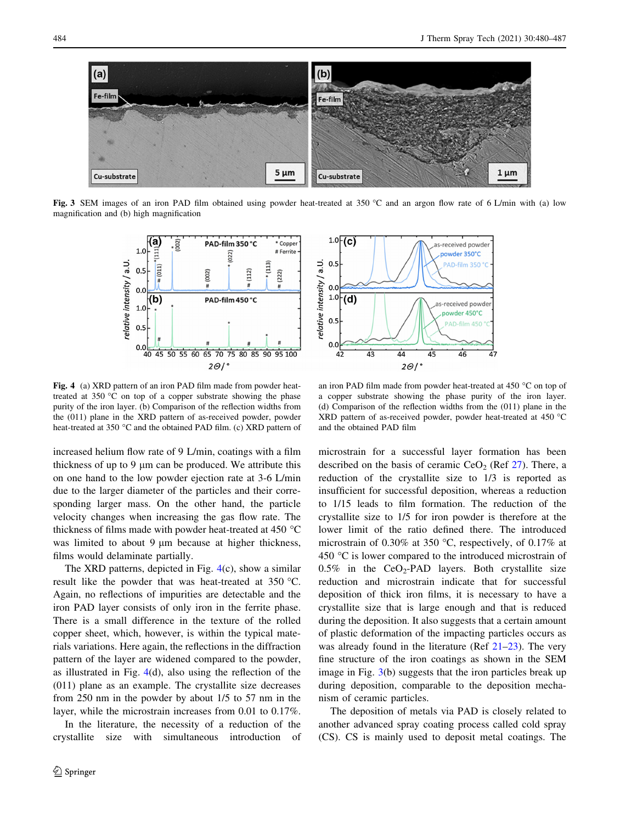<span id="page-4-0"></span>

Fig. 3 SEM images of an iron PAD film obtained using powder heat-treated at 350 °C and an argon flow rate of 6 L/min with (a) low magnification and (b) high magnification



Fig. 4 (a) XRD pattern of an iron PAD film made from powder heattreated at 350  $\degree$ C on top of a copper substrate showing the phase purity of the iron layer. (b) Comparison of the reflection widths from the (011) plane in the XRD pattern of as-received powder, powder heat-treated at 350 °C and the obtained PAD film. (c) XRD pattern of

an iron PAD film made from powder heat-treated at 450 °C on top of a copper substrate showing the phase purity of the iron layer. (d) Comparison of the reflection widths from the (011) plane in the XRD pattern of as-received powder, powder heat-treated at 450  $^{\circ}$ C and the obtained PAD film

increased helium flow rate of 9 L/min, coatings with a film thickness of up to 9  $\mu$ m can be produced. We attribute this on one hand to the low powder ejection rate at 3-6 L/min due to the larger diameter of the particles and their corresponding larger mass. On the other hand, the particle velocity changes when increasing the gas flow rate. The thickness of films made with powder heat-treated at 450  $^{\circ}$ C was limited to about  $9 \mu m$  because at higher thickness, films would delaminate partially.

The XRD patterns, depicted in Fig. 4(c), show a similar result like the powder that was heat-treated at 350 °C. Again, no reflections of impurities are detectable and the iron PAD layer consists of only iron in the ferrite phase. There is a small difference in the texture of the rolled copper sheet, which, however, is within the typical materials variations. Here again, the reflections in the diffraction pattern of the layer are widened compared to the powder, as illustrated in Fig. 4(d), also using the reflection of the (011) plane as an example. The crystallite size decreases from 250 nm in the powder by about 1/5 to 57 nm in the layer, while the microstrain increases from 0.01 to 0.17%.

In the literature, the necessity of a reduction of the crystallite size with simultaneous introduction of microstrain for a successful layer formation has been described on the basis of ceramic  $CeO<sub>2</sub>$  (Ref [27\)](#page-7-0). There, a reduction of the crystallite size to 1/3 is reported as insufficient for successful deposition, whereas a reduction to 1/15 leads to film formation. The reduction of the crystallite size to 1/5 for iron powder is therefore at the lower limit of the ratio defined there. The introduced microstrain of 0.30% at 350  $^{\circ}$ C, respectively, of 0.17% at 450  $\degree$ C is lower compared to the introduced microstrain of  $0.5\%$  in the CeO<sub>2</sub>-PAD layers. Both crystallite size reduction and microstrain indicate that for successful deposition of thick iron films, it is necessary to have a crystallite size that is large enough and that is reduced during the deposition. It also suggests that a certain amount of plastic deformation of the impacting particles occurs as was already found in the literature (Ref [21–23](#page-7-0)). The very fine structure of the iron coatings as shown in the SEM image in Fig. 3(b) suggests that the iron particles break up during deposition, comparable to the deposition mechanism of ceramic particles.

The deposition of metals via PAD is closely related to another advanced spray coating process called cold spray (CS). CS is mainly used to deposit metal coatings. The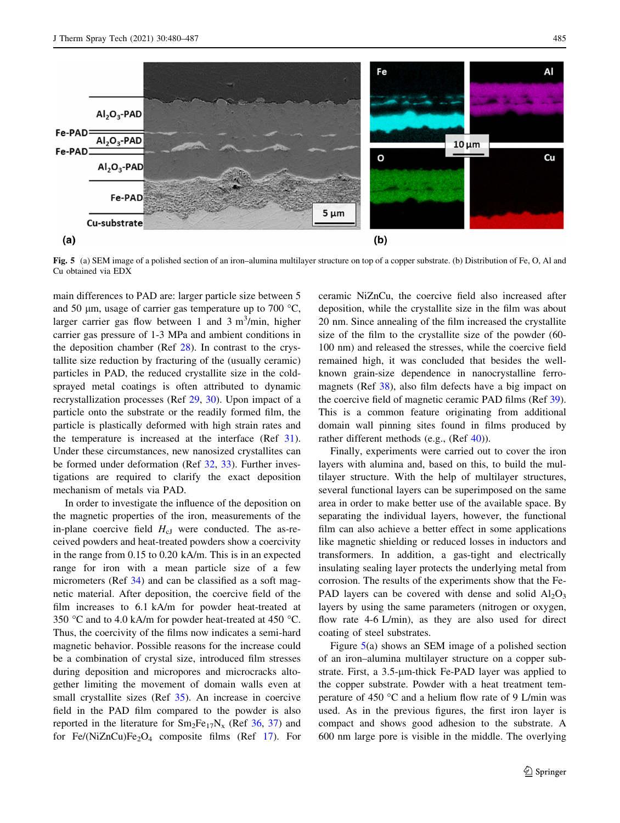<span id="page-5-0"></span>

Fig. 5 (a) SEM image of a polished section of an iron–alumina multilayer structure on top of a copper substrate. (b) Distribution of Fe, O, Al and Cu obtained via EDX

main differences to PAD are: larger particle size between 5 and 50  $\mu$ m, usage of carrier gas temperature up to 700 °C, larger carrier gas flow between 1 and 3  $m<sup>3</sup>/min$ , higher carrier gas pressure of 1-3 MPa and ambient conditions in the deposition chamber (Ref [28](#page-7-0)). In contrast to the crystallite size reduction by fracturing of the (usually ceramic) particles in PAD, the reduced crystallite size in the coldsprayed metal coatings is often attributed to dynamic recrystallization processes (Ref [29,](#page-7-0) [30\)](#page-7-0). Upon impact of a particle onto the substrate or the readily formed film, the particle is plastically deformed with high strain rates and the temperature is increased at the interface (Ref [31](#page-7-0)). Under these circumstances, new nanosized crystallites can be formed under deformation (Ref [32](#page-7-0), [33](#page-7-0)). Further investigations are required to clarify the exact deposition mechanism of metals via PAD.

In order to investigate the influence of the deposition on the magnetic properties of the iron, measurements of the in-plane coercive field  $H_{cJ}$  were conducted. The as-received powders and heat-treated powders show a coercivity in the range from 0.15 to 0.20 kA/m. This is in an expected range for iron with a mean particle size of a few micrometers (Ref [34\)](#page-7-0) and can be classified as a soft magnetic material. After deposition, the coercive field of the film increases to 6.1 kA/m for powder heat-treated at 350 °C and to 4.0 kA/m for powder heat-treated at 450 °C. Thus, the coercivity of the films now indicates a semi-hard magnetic behavior. Possible reasons for the increase could be a combination of crystal size, introduced film stresses during deposition and micropores and microcracks altogether limiting the movement of domain walls even at small crystallite sizes (Ref [35](#page-7-0)). An increase in coercive field in the PAD film compared to the powder is also reported in the literature for  $Sm_2Fe_{17}N_x$  (Ref [36](#page-7-0), [37\)](#page-7-0) and for Fe/(NiZnCu)Fe<sub>2</sub>O<sub>4</sub> composite films (Ref [17\)](#page-7-0). For ceramic NiZnCu, the coercive field also increased after deposition, while the crystallite size in the film was about 20 nm. Since annealing of the film increased the crystallite size of the film to the crystallite size of the powder (60- 100 nm) and released the stresses, while the coercive field remained high, it was concluded that besides the wellknown grain-size dependence in nanocrystalline ferromagnets (Ref [38\)](#page-7-0), also film defects have a big impact on the coercive field of magnetic ceramic PAD films (Ref [39](#page-7-0)). This is a common feature originating from additional domain wall pinning sites found in films produced by rather different methods (e.g., (Ref [40\)](#page-7-0)).

Finally, experiments were carried out to cover the iron layers with alumina and, based on this, to build the multilayer structure. With the help of multilayer structures, several functional layers can be superimposed on the same area in order to make better use of the available space. By separating the individual layers, however, the functional film can also achieve a better effect in some applications like magnetic shielding or reduced losses in inductors and transformers. In addition, a gas-tight and electrically insulating sealing layer protects the underlying metal from corrosion. The results of the experiments show that the Fe-PAD layers can be covered with dense and solid  $Al_2O_3$ layers by using the same parameters (nitrogen or oxygen, flow rate 4-6 L/min), as they are also used for direct coating of steel substrates.

Figure 5(a) shows an SEM image of a polished section of an iron–alumina multilayer structure on a copper substrate. First, a 3.5-µm-thick Fe-PAD layer was applied to the copper substrate. Powder with a heat treatment temperature of 450  $\degree$ C and a helium flow rate of 9 L/min was used. As in the previous figures, the first iron layer is compact and shows good adhesion to the substrate. A 600 nm large pore is visible in the middle. The overlying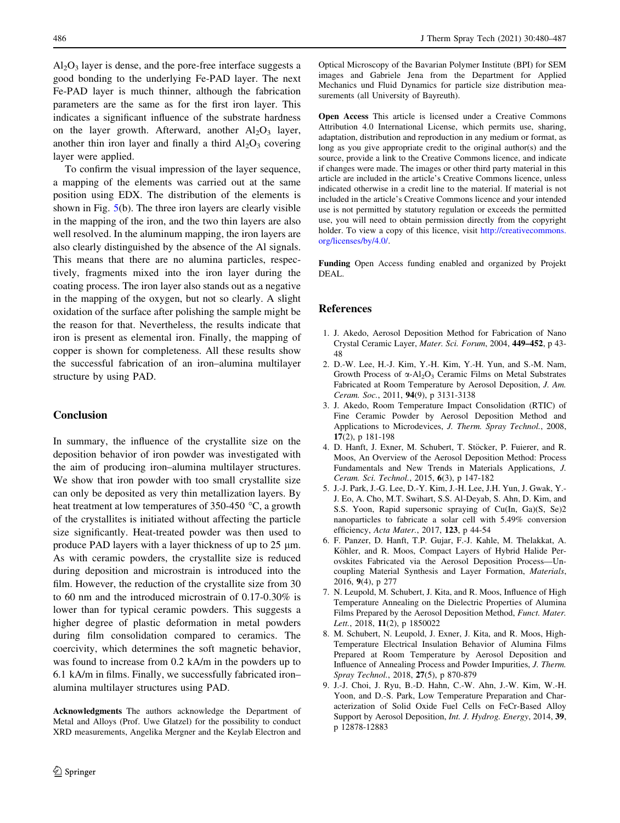<span id="page-6-0"></span> $Al_2O_3$  layer is dense, and the pore-free interface suggests a good bonding to the underlying Fe-PAD layer. The next Fe-PAD layer is much thinner, although the fabrication parameters are the same as for the first iron layer. This indicates a significant influence of the substrate hardness on the layer growth. Afterward, another  $Al_2O_3$  layer, another thin iron layer and finally a third  $Al_2O_3$  covering layer were applied.

To confirm the visual impression of the layer sequence, a mapping of the elements was carried out at the same position using EDX. The distribution of the elements is shown in Fig. [5](#page-5-0)(b). The three iron layers are clearly visible in the mapping of the iron, and the two thin layers are also well resolved. In the aluminum mapping, the iron layers are also clearly distinguished by the absence of the Al signals. This means that there are no alumina particles, respectively, fragments mixed into the iron layer during the coating process. The iron layer also stands out as a negative in the mapping of the oxygen, but not so clearly. A slight oxidation of the surface after polishing the sample might be the reason for that. Nevertheless, the results indicate that iron is present as elemental iron. Finally, the mapping of copper is shown for completeness. All these results show the successful fabrication of an iron–alumina multilayer structure by using PAD.

# **Conclusion**

In summary, the influence of the crystallite size on the deposition behavior of iron powder was investigated with the aim of producing iron–alumina multilayer structures. We show that iron powder with too small crystallite size can only be deposited as very thin metallization layers. By heat treatment at low temperatures of 350-450  $\degree$ C, a growth of the crystallites is initiated without affecting the particle size significantly. Heat-treated powder was then used to produce PAD layers with a layer thickness of up to  $25 \mu m$ . As with ceramic powders, the crystallite size is reduced during deposition and microstrain is introduced into the film. However, the reduction of the crystallite size from 30 to 60 nm and the introduced microstrain of 0.17-0.30% is lower than for typical ceramic powders. This suggests a higher degree of plastic deformation in metal powders during film consolidation compared to ceramics. The coercivity, which determines the soft magnetic behavior, was found to increase from 0.2 kA/m in the powders up to 6.1 kA/m in films. Finally, we successfully fabricated iron– alumina multilayer structures using PAD.

Acknowledgments The authors acknowledge the Department of Metal and Alloys (Prof. Uwe Glatzel) for the possibility to conduct XRD measurements, Angelika Mergner and the Keylab Electron and

Optical Microscopy of the Bavarian Polymer Institute (BPI) for SEM images and Gabriele Jena from the Department for Applied Mechanics und Fluid Dynamics for particle size distribution measurements (all University of Bayreuth).

Open Access This article is licensed under a Creative Commons Attribution 4.0 International License, which permits use, sharing, adaptation, distribution and reproduction in any medium or format, as long as you give appropriate credit to the original author(s) and the source, provide a link to the Creative Commons licence, and indicate if changes were made. The images or other third party material in this article are included in the article's Creative Commons licence, unless indicated otherwise in a credit line to the material. If material is not included in the article's Creative Commons licence and your intended use is not permitted by statutory regulation or exceeds the permitted use, you will need to obtain permission directly from the copyright holder. To view a copy of this licence, visit [http://creativecommons.](http://creativecommons.org/licenses/by/4.0/) [org/licenses/by/4.0/.](http://creativecommons.org/licenses/by/4.0/)

Funding Open Access funding enabled and organized by Projekt DEAL.

#### References

- 1. J. Akedo, Aerosol Deposition Method for Fabrication of Nano Crystal Ceramic Layer, Mater. Sci. Forum, 2004, 449–452, p 43- 48
- 2. D.-W. Lee, H.-J. Kim, Y.-H. Kim, Y.-H. Yun, and S.-M. Nam, Growth Process of  $\alpha$ -Al<sub>2</sub>O<sub>3</sub> Ceramic Films on Metal Substrates Fabricated at Room Temperature by Aerosol Deposition, J. Am. Ceram. Soc., 2011, 94(9), p 3131-3138
- 3. J. Akedo, Room Temperature Impact Consolidation (RTIC) of Fine Ceramic Powder by Aerosol Deposition Method and Applications to Microdevices, J. Therm. Spray Technol., 2008, 17(2), p 181-198
- 4. D. Hanft, J. Exner, M. Schubert, T. Stöcker, P. Fuierer, and R. Moos, An Overview of the Aerosol Deposition Method: Process Fundamentals and New Trends in Materials Applications, J. Ceram. Sci. Technol., 2015, 6(3), p 147-182
- 5. J.-J. Park, J.-G. Lee, D.-Y. Kim, J.-H. Lee, J.H. Yun, J. Gwak, Y.- J. Eo, A. Cho, M.T. Swihart, S.S. Al-Deyab, S. Ahn, D. Kim, and S.S. Yoon, Rapid supersonic spraying of Cu(In, Ga)(S, Se)2 nanoparticles to fabricate a solar cell with 5.49% conversion efficiency, Acta Mater., 2017, 123, p 44-54
- 6. F. Panzer, D. Hanft, T.P. Gujar, F.-J. Kahle, M. Thelakkat, A. Köhler, and R. Moos, Compact Layers of Hybrid Halide Perovskites Fabricated via the Aerosol Deposition Process—Uncoupling Material Synthesis and Layer Formation, Materials, 2016, 9(4), p 277
- 7. N. Leupold, M. Schubert, J. Kita, and R. Moos, Influence of High Temperature Annealing on the Dielectric Properties of Alumina Films Prepared by the Aerosol Deposition Method, Funct. Mater. Lett., 2018, **11**(2), p 1850022
- 8. M. Schubert, N. Leupold, J. Exner, J. Kita, and R. Moos, High-Temperature Electrical Insulation Behavior of Alumina Films Prepared at Room Temperature by Aerosol Deposition and Influence of Annealing Process and Powder Impurities, J. Therm. Spray Technol., 2018, 27(5), p 870-879
- 9. J.-J. Choi, J. Ryu, B.-D. Hahn, C.-W. Ahn, J.-W. Kim, W.-H. Yoon, and D.-S. Park, Low Temperature Preparation and Characterization of Solid Oxide Fuel Cells on FeCr-Based Alloy Support by Aerosol Deposition, Int. J. Hydrog. Energy, 2014, 39, p 12878-12883